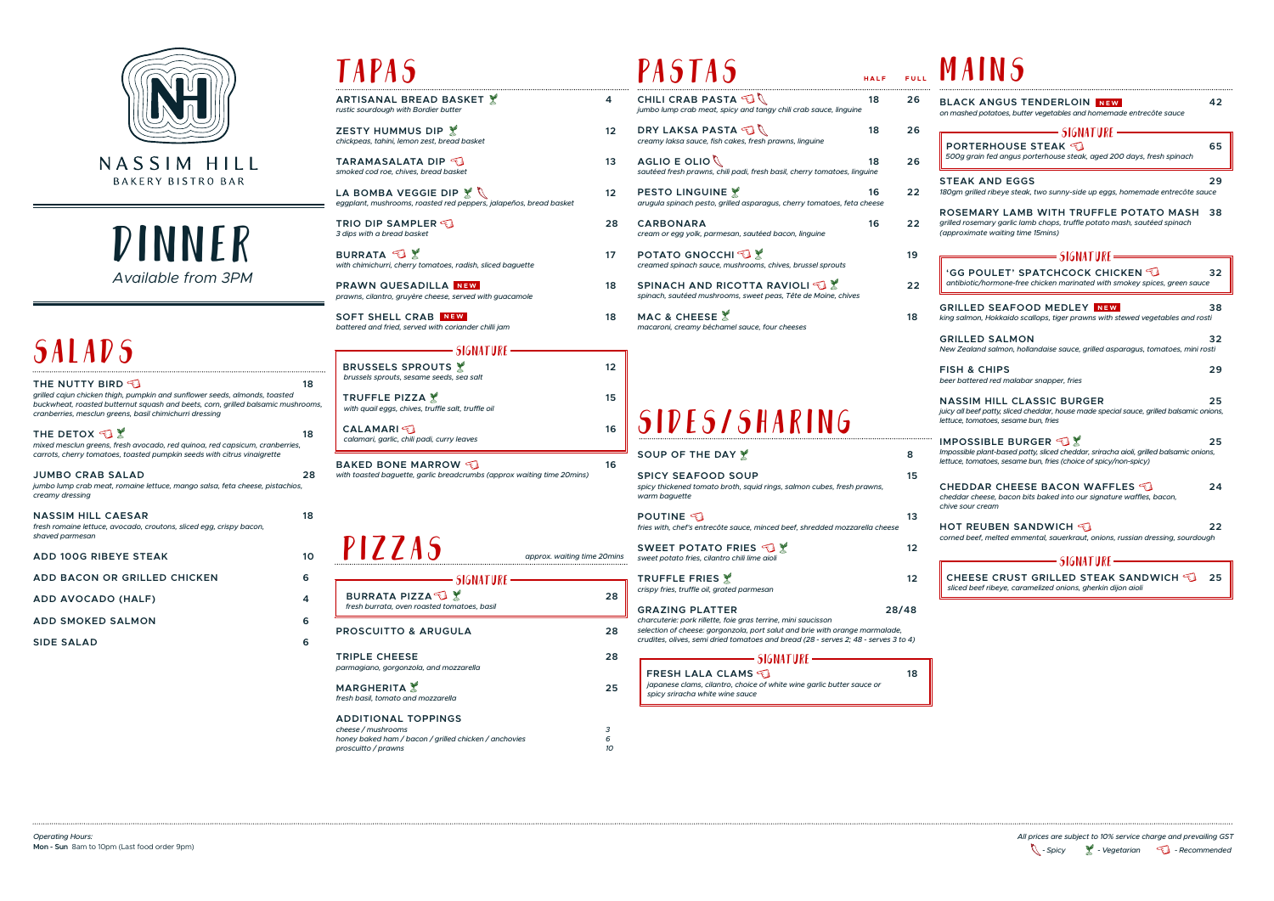

NASSIM HILL **BAKERY BISTRO BAR** 

| THE NUTTY BIRD $\P$<br>grilled cajun chicken thigh, pumpkin and sunflower seeds, almonds, toasted<br>buckwheat, roasted butternut squash and beets, corn, grilled balsamic mushrooms,<br>cranberries, mesclun greens, basil chimichurri dressing | 18 |
|--------------------------------------------------------------------------------------------------------------------------------------------------------------------------------------------------------------------------------------------------|----|
| THE DETOX $\mathbb{S}\mathbb{X}$<br>mixed mesclun greens, fresh avocado, red quinoa, red capsicum, cranberries,<br>carrots, cherry tomatoes, toasted pumpkin seeds with citrus vinaigrette                                                       | 18 |
| <b>JUMBO CRAB SALAD</b><br>jumbo lump crab meat, romaine lettuce, mango salsa, feta cheese, pistachios,<br>creamy dressing                                                                                                                       | 28 |
| <b>NASSIM HILL CAESAR</b><br>fresh romaine lettuce, avocado, croutons, sliced egg, crispy bacon,<br>shaved parmesan                                                                                                                              | 18 |
| <b>ADD 100G RIBEYE STEAK</b>                                                                                                                                                                                                                     | 10 |
| ADD BACON OR GRILLED CHICKEN                                                                                                                                                                                                                     | 6  |
| ADD AVOCADO (HALF)                                                                                                                                                                                                                               | 4  |
| <b>ADD SMOKED SALMON</b>                                                                                                                                                                                                                         | 6  |
| <b>SIDE SALAD</b>                                                                                                                                                                                                                                | 6  |
|                                                                                                                                                                                                                                                  |    |

## **TAPAS**

DINNER *Available from 3PM*

## **SALADS**

### pastas

**FRESH LALA CLAMS**  *japanese clams, cilantro, choice of white wine garlic butter sauce or spicy sriracha white wine sauce*

**ZESTY HUMMUS DIP 12** 12 *chickpeas, tahini, lemon zest, bread basket*

**TARAMASALATA DIP**  $\bigcirc$  13 *smoked cod roe, chives, bread basket*

LA BOMBA VEGGIE DIP  $\mathbb{X}$  \ 12 *eggplant, mushrooms, roasted red peppers, jalapeños, bread basket*

**BURRATA**  $\bigcirc$  **17** *with chimichurri, cherry tomatoes, radish, sliced baguette*

**PRAWN QUESADILLA NEW** 18 *prawns, cilantro, gruyère cheese, served with guacamole*

**SOFT SHELL CRAB NEW** 18 *battered and fried, served with coriander chilli jam*

### $=$ SIGNATURE =

**BRUSSELS SPROUTS 12** 12  *brussels sprouts, sesame seeds, sea salt* **TRUFFLE PIZZA 15**  *with quail eggs, chives, truffle salt, truffle oil*  **CALAMARI**  $\epsilon$  **16**  *calamari, garlic, chili padi, curry leaves* **BAKED BONE MARROW JUNE 16** *with toasted baguette, garlic breadcrumbs (approx waiting time 20mins)*

**ARTISANAL BREAD BASKET 4** *rustic sourdough with Bordier butter*

**TRIO DIP SAMPLER 28** *3 dips with a bread basket*

| PASTAS                                                                                                                                                                                                                                                        | HALF | <b>FULL</b> |                                          |
|---------------------------------------------------------------------------------------------------------------------------------------------------------------------------------------------------------------------------------------------------------------|------|-------------|------------------------------------------|
| CHILI CRAB PASTA<br>18<br>jumbo lump crab meat, spicy and tangy chili crab sauce, linguine                                                                                                                                                                    |      | 26          | <b>BLA</b><br>on mas                     |
| DRY LAKSA PASTA<br>18<br>creamy laksa sauce, fish cakes, fresh prawns, linguine                                                                                                                                                                               |      | 26          | <b>POI</b>                               |
| AGLIO E OLIO $\mathbb Q$<br>18<br>sautéed fresh prawns, chili padi, fresh basil, cherry tomatoes, linguine                                                                                                                                                    |      | 26          | 500g                                     |
| <b>PESTO LINGUINE</b><br>arugula spinach pesto, grilled asparagus, cherry tomatoes, feta cheese                                                                                                                                                               | 16   | 22          | STE/<br>180gm                            |
| <b>CARBONARA</b><br>cream or egg yolk, parmesan, sautéed bacon, linguine                                                                                                                                                                                      | 16   | 22          | <b>ROSI</b><br>grilled<br>(appro         |
| <b>POTATO GNOCCHI</b><br>creamed spinach sauce, mushrooms, chives, brussel sprouts                                                                                                                                                                            |      | 19          | <b>GG</b>                                |
| SPINACH AND RICOTTA RAVIOLI<br>spinach, sautéed mushrooms, sweet peas, Tête de Moine, chives                                                                                                                                                                  |      | 22          | antib                                    |
| MAC & CHEESE &<br>macaroni, creamy béchamel sauce, four cheeses                                                                                                                                                                                               |      | 18          | <b>GRIL</b><br>king sa                   |
|                                                                                                                                                                                                                                                               |      |             | GRIL<br>New Ze                           |
|                                                                                                                                                                                                                                                               |      |             | <b>FISH</b><br>beer bo                   |
| <b>SIDES/SHARING</b>                                                                                                                                                                                                                                          |      |             | <b>NAS</b><br>juicy all<br>lettuce,      |
| SOUP OF THE DAY X                                                                                                                                                                                                                                             |      | 8           | <b>IMPC</b><br><i>Imposs</i><br>lettuce, |
| <b>SPICY SEAFOOD SOUP</b><br>spicy thickened tomato broth, squid rings, salmon cubes, fresh prawns,<br>warm baguette                                                                                                                                          |      | 15          | CHEI<br>cheddo                           |
| <b>POUTINE</b><br>fries with, chef's entrecôte sauce, minced beef, shredded mozzarella cheese                                                                                                                                                                 |      | 13          | chive s<br>нот                           |
| SWEET POTATO FRIES<br>sweet potato fries, cilantro chili lime aioli                                                                                                                                                                                           |      | 12          | cornea                                   |
| TRUFFLE FRIES X<br>crispy fries, truffle oil, grated parmesan                                                                                                                                                                                                 |      | 12          | sliced                                   |
| <b>GRAZING PLATTER</b><br>charcuterie: pork rillette, foie gras terrine, mini saucisson<br>selection of cheese: gorgonzola, port salut and brie with orange marmalade,<br>crudites, olives, semi dried tomatoes and bread (28 - serves 2; 48 - serves 3 to 4) |      | 28/48       |                                          |
| <b>SIGNATURE</b> :                                                                                                                                                                                                                                            |      |             |                                          |

pizzas

| SIGNATURE                                                                                                                        |              |
|----------------------------------------------------------------------------------------------------------------------------------|--------------|
| <b>BURRATA PIZZA</b><br>fresh burrata, oven roasted tomatoes, basil                                                              | 28           |
| <b>PROSCUITTO &amp; ARUGULA</b>                                                                                                  | 28           |
| <b>TRIPLE CHEESE</b><br>parmagiano, gorgonzola, and mozzarella                                                                   | 28           |
| <b>MARGHERITA</b><br>fresh basil, tomato and mozzarella                                                                          | 25           |
| <b>ADDITIONAL TOPPINGS</b><br>cheese / mushrooms<br>honey baked ham / bacon / grilled chicken / anchovies<br>proscuitto / prawns | 3<br>ĥ<br>10 |

*- Spicy - Vegetarian - Recommended All prices are subject to 10% service charge and prevailing GST* 

| <b>BLACK ANGUS TENDERLOIN NEW</b><br>on mashed potatoes, butter vegetables and homemade entrecôte sauce                                                                         | 42 |
|---------------------------------------------------------------------------------------------------------------------------------------------------------------------------------|----|
| = SIGNATURE =                                                                                                                                                                   |    |
| <b>PORTERHOUSE STEAK</b>                                                                                                                                                        | 65 |
| 500g grain fed angus porterhouse steak, aged 200 days, fresh spinach                                                                                                            |    |
| <b>STEAK AND EGGS</b><br>180gm grilled ribeye steak, two sunny-side up eggs, homemade entrecôte sauce                                                                           | 29 |
| ROSEMARY LAMB WITH TRUFFLE POTATO MASH<br>grilled rosemary garlic lamb chops, truffle potato mash, sautéed spinach<br>(approximate waiting time 15mins)                         | 38 |
| — SIGNATURE —                                                                                                                                                                   |    |
| 'GG POULET' SPATCHCOCK CHICKEN $\mathbb C$<br>antibiotic/hormone-free chicken marinated with smokey spices, green sauce                                                         | 32 |
| GRILLED SEAFOOD MEDLEY NEW<br>king salmon, Hokkaido scallops, tiger prawns with stewed vegetables and rosti                                                                     | 38 |
| <b>GRILLED SALMON</b><br>New Zealand salmon, hollandaise sauce, grilled asparagus, tomatoes, mini rosti                                                                         | 32 |
| <b>FISH &amp; CHIPS</b><br>beer battered red malabar snapper, fries                                                                                                             | 29 |
| <b>NASSIM HILL CLASSIC BURGER</b><br>juicy all beef patty, sliced cheddar, house made special sauce, grilled balsamic onions,<br>lettuce, tomatoes, sesame bun, fries           | 25 |
| IMPOSSIBLE BURGER<br>Impossible plant-based patty, sliced cheddar, sriracha aioli, grilled balsamic onions,<br>lettuce, tomatoes, sesame bun, fries (choice of spicy/non-spicy) | 25 |
| CHEDDAR CHEESE BACON WAFFLES $\P$<br>cheddar cheese, bacon bits baked into our signature waffles, bacon,<br>chive sour cream                                                    | 24 |
| HOT REUBEN SANDWICH $\lessdot$<br>corned beef, melted emmental, sauerkraut, onions, russian dressing, sourdough                                                                 | 22 |
| = SIGNATURE =                                                                                                                                                                   |    |
| CHEESE CRUST GRILLED STEAK SANDWICH<br>sliced beef ribeye, caramelized onions, gherkin dijon aioli                                                                              | 25 |

|  | A I N |  |
|--|-------|--|
|  |       |  |

*approx. waiting time 20mins*